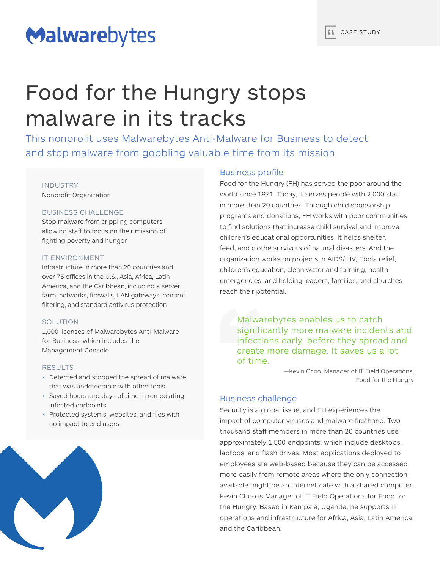# Malwarebytes

# Food for the Hungry stops malware in its tracks

This nonprofit uses Malwarebytes Anti-Malware for Business to detect and stop malware from gobbling valuable time from its mission

### INDUSTRY Nonprofit Organization

# BUSINESS CHALLENGE

Stop malware from crippling computers, allowing staff to focus on their mission of fighting poverty and hunger

### IT ENVIRONMENT

Infrastructure in more than 20 countries and over 75 offices in the U.S., Asia, Africa, Latin America, and the Caribbean, including a server farm, networks, firewalls, LAN gateways, content filtering, and standard antivirus protection

### SOLUTION

1,000 licenses of Malwarebytes Anti-Malware for Business, which includes the Management Console

#### RESULTS

- Detected and stopped the spread of malware that was undetectable with other tools
- Saved hours and days of time in remediating infected endpoints
- Protected systems, websites, and files with no impact to end users



# Business profile

Food for the Hungry (FH) has served the poor around the world since 1971. Today, it serves people with 2,000 staff in more than 20 countries. Through child sponsorship programs and donations, FH works with poor communities to find solutions that increase child survival and improve children's educational opportunities. It helps shelter, feed, and clothe survivors of natural disasters. And the organization works on projects in AIDS/HIV, Ebola relief, children's education, clean water and farming, health emergencies, and helping leaders, families, and churches reach their potential.

Malwarebytes enables us to catch significantly more malware incidents and infections early, before they spread and create more damage. It saves us a lot of time.

> —Kevin Choo, Manager of IT Field Operations, Food for the Hungry

# Business challenge

Security is a global issue, and FH experiences the impact of computer viruses and malware firsthand. Two thousand staff members in more than 20 countries use approximately 1,500 endpoints, which include desktops, laptops, and flash drives. Most applications deployed to employees are web-based because they can be accessed more easily from remote areas where the only connection available might be an Internet café with a shared computer. Kevin Choo is Manager of IT Field Operations for Food for the Hungry. Based in Kampala, Uganda, he supports IT operations and infrastructure for Africa, Asia, Latin America, and the Caribbean.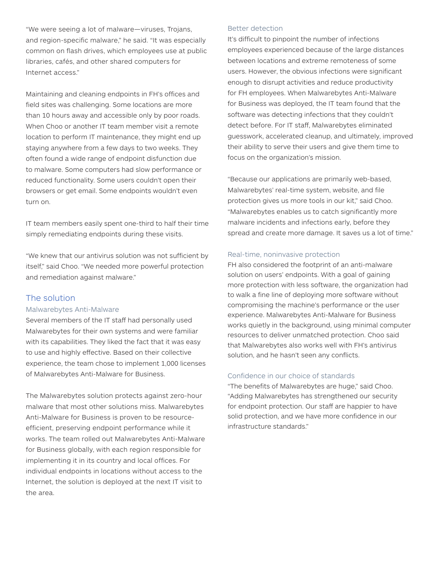"We were seeing a lot of malware—viruses, Trojans, and region-specific malware," he said. "It was especially common on flash drives, which employees use at public libraries, cafés, and other shared computers for Internet access."

Maintaining and cleaning endpoints in FH's offices and field sites was challenging. Some locations are more than 10 hours away and accessible only by poor roads. When Choo or another IT team member visit a remote location to perform IT maintenance, they might end up staying anywhere from a few days to two weeks. They often found a wide range of endpoint disfunction due to malware. Some computers had slow performance or reduced functionality. Some users couldn't open their browsers or get email. Some endpoints wouldn't even turn on.

IT team members easily spent one-third to half their time simply remediating endpoints during these visits.

"We knew that our antivirus solution was not sufficient by itself," said Choo. "We needed more powerful protection and remediation against malware."

# The solution

#### Malwarebytes Anti-Malware

Several members of the IT staff had personally used Malwarebytes for their own systems and were familiar with its capabilities. They liked the fact that it was easy to use and highly effective. Based on their collective experience, the team chose to implement 1,000 licenses of Malwarebytes Anti-Malware for Business.

The Malwarebytes solution protects against zero-hour malware that most other solutions miss. Malwarebytes Anti-Malware for Business is proven to be resourceefficient, preserving endpoint performance while it works. The team rolled out Malwarebytes Anti-Malware for Business globally, with each region responsible for implementing it in its country and local offices. For individual endpoints in locations without access to the Internet, the solution is deployed at the next IT visit to the area.

#### Better detection

It's difficult to pinpoint the number of infections employees experienced because of the large distances between locations and extreme remoteness of some users. However, the obvious infections were significant enough to disrupt activities and reduce productivity for FH employees. When Malwarebytes Anti-Malware for Business was deployed, the IT team found that the software was detecting infections that they couldn't detect before. For IT staff, Malwarebytes eliminated guesswork, accelerated cleanup, and ultimately, improved their ability to serve their users and give them time to focus on the organization's mission.

"Because our applications are primarily web-based, Malwarebytes' real-time system, website, and file protection gives us more tools in our kit," said Choo. "Malwarebytes enables us to catch significantly more malware incidents and infections early, before they spread and create more damage. It saves us a lot of time."

### Real-time, noninvasive protection

FH also considered the footprint of an anti-malware solution on users' endpoints. With a goal of gaining more protection with less software, the organization had to walk a fine line of deploying more software without compromising the machine's performance or the user experience. Malwarebytes Anti-Malware for Business works quietly in the background, using minimal computer resources to deliver unmatched protection. Choo said that Malwarebytes also works well with FH's antivirus solution, and he hasn't seen any conflicts.

# Confidence in our choice of standards

"The benefits of Malwarebytes are huge," said Choo. "Adding Malwarebytes has strengthened our security for endpoint protection. Our staff are happier to have solid protection, and we have more confidence in our infrastructure standards."